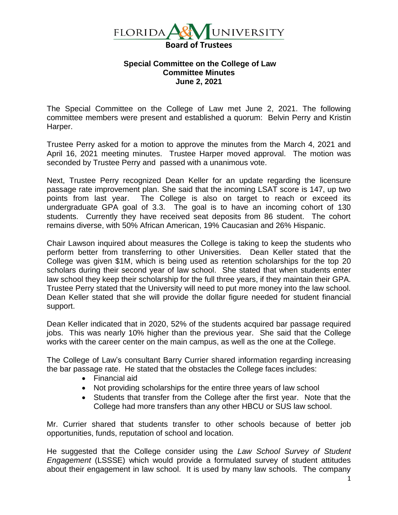

## **Special Committee on the College of Law Committee Minutes June 2, 2021**

The Special Committee on the College of Law met June 2, 2021. The following committee members were present and established a quorum: Belvin Perry and Kristin Harper.

Trustee Perry asked for a motion to approve the minutes from the March 4, 2021 and April 16, 2021 meeting minutes. Trustee Harper moved approval. The motion was seconded by Trustee Perry and passed with a unanimous vote.

Next, Trustee Perry recognized Dean Keller for an update regarding the licensure passage rate improvement plan. She said that the incoming LSAT score is 147, up two points from last year. The College is also on target to reach or exceed its undergraduate GPA goal of 3.3. The goal is to have an incoming cohort of 130 students. Currently they have received seat deposits from 86 student. The cohort remains diverse, with 50% African American, 19% Caucasian and 26% Hispanic.

Chair Lawson inquired about measures the College is taking to keep the students who perform better from transferring to other Universities. Dean Keller stated that the College was given \$1M, which is being used as retention scholarships for the top 20 scholars during their second year of law school. She stated that when students enter law school they keep their scholarship for the full three years, if they maintain their GPA. Trustee Perry stated that the University will need to put more money into the law school. Dean Keller stated that she will provide the dollar figure needed for student financial support.

Dean Keller indicated that in 2020, 52% of the students acquired bar passage required jobs. This was nearly 10% higher than the previous year. She said that the College works with the career center on the main campus, as well as the one at the College.

The College of Law's consultant Barry Currier shared information regarding increasing the bar passage rate. He stated that the obstacles the College faces includes:

- Financial aid
- Not providing scholarships for the entire three years of law school
- Students that transfer from the College after the first year. Note that the College had more transfers than any other HBCU or SUS law school.

Mr. Currier shared that students transfer to other schools because of better job opportunities, funds, reputation of school and location.

He suggested that the College consider using the *Law School Survey of Student Engagement* (LSSSE) which would provide a formulated survey of student attitudes about their engagement in law school. It is used by many law schools. The company